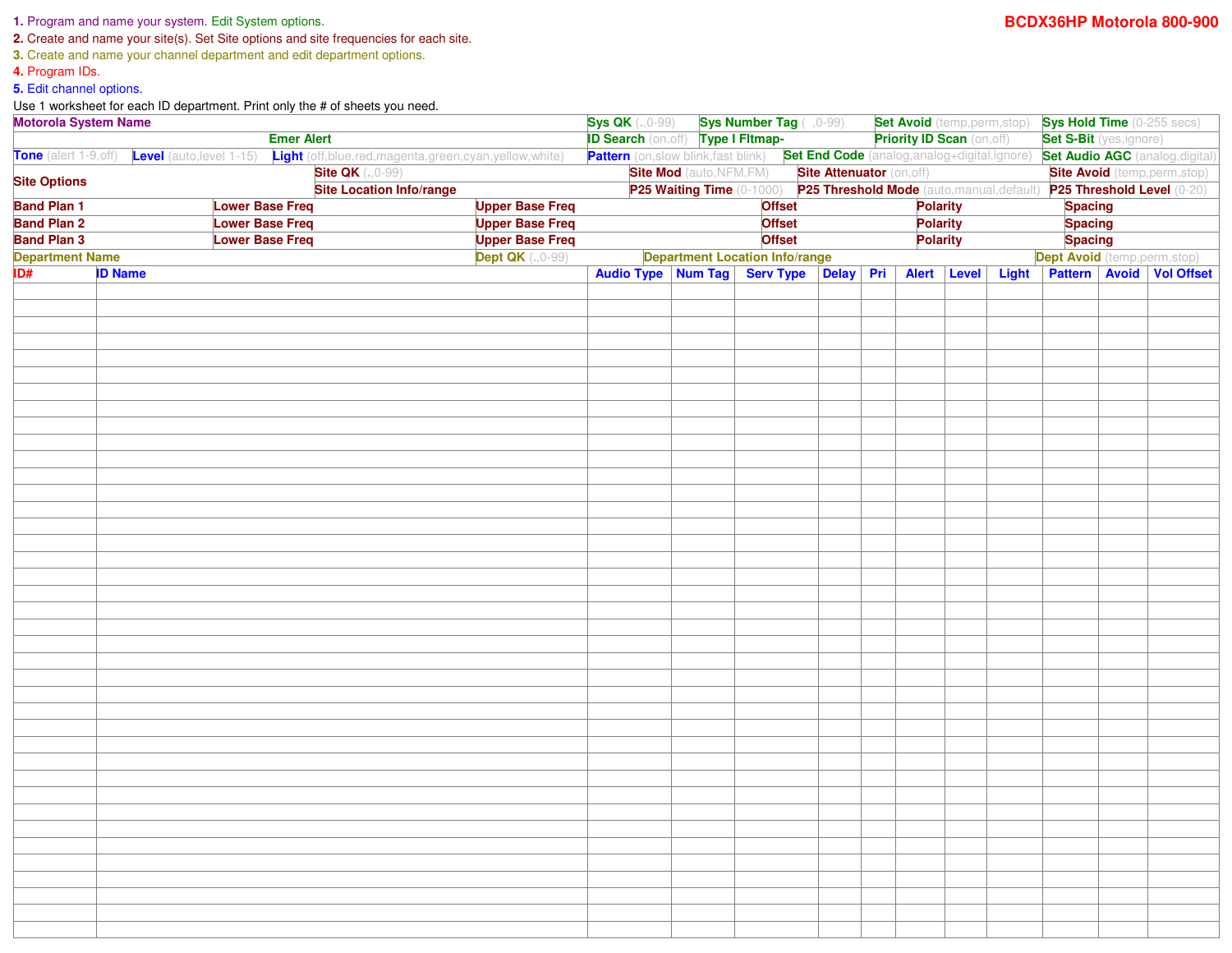## **1.** Program and name your system. Edit System options.

**2.** Create and name your site(s). Set Site options and site frequencies for each site.

**3.** Create and name your channel department and edit department options.

**4.** Program IDs.

**5.** Edit channel options.

Use 1 worksheet for each ID department. Print only the # of sheets you need.

| <b>Motorola System Name</b><br><b>Emer Alert</b>                                                                                                                                                                           |                |  |                                                                                                                                     | <b>Sys QK</b> $(.,0-99)$ <b>Sys Number Tag</b> $(.,0-99)$ |                                                                                    |  |                                                           | <b>Set Avoid</b> (temp,perm,stop) |  |                | <b>Sys Hold Time</b> (0-255 secs)    |  |  |                                        |
|----------------------------------------------------------------------------------------------------------------------------------------------------------------------------------------------------------------------------|----------------|--|-------------------------------------------------------------------------------------------------------------------------------------|-----------------------------------------------------------|------------------------------------------------------------------------------------|--|-----------------------------------------------------------|-----------------------------------|--|----------------|--------------------------------------|--|--|----------------------------------------|
|                                                                                                                                                                                                                            |                |  |                                                                                                                                     | <b>ID Search (on, off)</b> Type I Fitmap-                 |                                                                                    |  |                                                           | <b>Priority ID Scan (on, off)</b> |  |                | <b>Set S-Bit</b> (yes, ignore)       |  |  |                                        |
|                                                                                                                                                                                                                            |                |  | Tone (alert 1-9,off) Level (auto,level 1-15) Light (off,blue,red,magenta,green,cyan,yellow,white)                                   |                                                           | Pattern (on, slow blink, fast blink) Set End Code (analog, analog+digital, ignore) |  |                                                           |                                   |  |                |                                      |  |  | <b>Set Audio AGC</b> (analog, digital) |
|                                                                                                                                                                                                                            |                |  | <b>Site QK</b> (., 0-99)                                                                                                            |                                                           |                                                                                    |  | <b>Site Mod</b> (auto, NFM, FM) Site Attenuator (on, off) |                                   |  |                |                                      |  |  | <b>Site Avoid</b> (temp, perm, stop)   |
| <b>Site Options</b>                                                                                                                                                                                                        |                |  | <b>Site Location Info/range</b>                                                                                                     |                                                           |                                                                                    |  |                                                           |                                   |  |                |                                      |  |  |                                        |
| <b>Band Plan 1</b><br><b>Upper Base Freq</b><br><b>Lower Base Freq</b><br><b>Band Plan 2</b><br><b>Lower Base Freq</b><br><b>Upper Base Freq</b><br><b>Band Plan 3</b><br><b>Lower Base Freq</b><br><b>Upper Base Freq</b> |                |  | P25 Waiting Time (0-1000) P25 Threshold Mode (auto, manual, default) P25 Threshold Level (0-20)<br><b>Offset</b><br><b>Polarity</b> |                                                           |                                                                                    |  |                                                           |                                   |  | <b>Spacing</b> |                                      |  |  |                                        |
|                                                                                                                                                                                                                            |                |  |                                                                                                                                     | <b>Offset</b><br><b>Polarity</b>                          |                                                                                    |  |                                                           |                                   |  | <b>Spacing</b> |                                      |  |  |                                        |
|                                                                                                                                                                                                                            |                |  | <b>Offset</b>                                                                                                                       |                                                           |                                                                                    |  |                                                           | <b>Polarity</b>                   |  | <b>Spacing</b> |                                      |  |  |                                        |
| <b>Dept QK</b> (., 0-99)<br><b>Department Name</b>                                                                                                                                                                         |                |  |                                                                                                                                     | <b>Department Location Info/range</b>                     |                                                                                    |  |                                                           |                                   |  |                | <b>Dept Avoid</b> (temp, perm, stop) |  |  |                                        |
| ID#                                                                                                                                                                                                                        | <b>ID Name</b> |  |                                                                                                                                     |                                                           |                                                                                    |  | Audio Type Num Tag Serv Type Delay Pri Alert Level        |                                   |  |                |                                      |  |  | <b>Pattern Avoid Vol Offset</b>        |
|                                                                                                                                                                                                                            |                |  |                                                                                                                                     |                                                           |                                                                                    |  |                                                           |                                   |  |                | <b>Light</b>                         |  |  |                                        |
|                                                                                                                                                                                                                            |                |  |                                                                                                                                     |                                                           |                                                                                    |  |                                                           |                                   |  |                |                                      |  |  |                                        |
|                                                                                                                                                                                                                            |                |  |                                                                                                                                     |                                                           |                                                                                    |  |                                                           |                                   |  |                |                                      |  |  |                                        |
|                                                                                                                                                                                                                            |                |  |                                                                                                                                     |                                                           |                                                                                    |  |                                                           |                                   |  |                |                                      |  |  |                                        |
|                                                                                                                                                                                                                            |                |  |                                                                                                                                     |                                                           |                                                                                    |  |                                                           |                                   |  |                |                                      |  |  |                                        |
|                                                                                                                                                                                                                            |                |  |                                                                                                                                     |                                                           |                                                                                    |  |                                                           |                                   |  |                |                                      |  |  |                                        |
|                                                                                                                                                                                                                            |                |  |                                                                                                                                     |                                                           |                                                                                    |  |                                                           |                                   |  |                |                                      |  |  |                                        |
|                                                                                                                                                                                                                            |                |  |                                                                                                                                     |                                                           |                                                                                    |  |                                                           |                                   |  |                |                                      |  |  |                                        |
|                                                                                                                                                                                                                            |                |  |                                                                                                                                     |                                                           |                                                                                    |  |                                                           |                                   |  |                |                                      |  |  |                                        |
|                                                                                                                                                                                                                            |                |  |                                                                                                                                     |                                                           |                                                                                    |  |                                                           |                                   |  |                |                                      |  |  |                                        |
|                                                                                                                                                                                                                            |                |  |                                                                                                                                     |                                                           |                                                                                    |  |                                                           |                                   |  |                |                                      |  |  |                                        |
|                                                                                                                                                                                                                            |                |  |                                                                                                                                     |                                                           |                                                                                    |  |                                                           |                                   |  |                |                                      |  |  |                                        |
|                                                                                                                                                                                                                            |                |  |                                                                                                                                     |                                                           |                                                                                    |  |                                                           |                                   |  |                |                                      |  |  |                                        |
|                                                                                                                                                                                                                            |                |  |                                                                                                                                     |                                                           |                                                                                    |  |                                                           |                                   |  |                |                                      |  |  |                                        |
|                                                                                                                                                                                                                            |                |  |                                                                                                                                     |                                                           |                                                                                    |  |                                                           |                                   |  |                |                                      |  |  |                                        |
|                                                                                                                                                                                                                            |                |  |                                                                                                                                     |                                                           |                                                                                    |  |                                                           |                                   |  |                |                                      |  |  |                                        |
|                                                                                                                                                                                                                            |                |  |                                                                                                                                     |                                                           |                                                                                    |  |                                                           |                                   |  |                |                                      |  |  |                                        |
|                                                                                                                                                                                                                            |                |  |                                                                                                                                     |                                                           |                                                                                    |  |                                                           |                                   |  |                |                                      |  |  |                                        |
|                                                                                                                                                                                                                            |                |  |                                                                                                                                     |                                                           |                                                                                    |  |                                                           |                                   |  |                |                                      |  |  |                                        |
|                                                                                                                                                                                                                            |                |  |                                                                                                                                     |                                                           |                                                                                    |  |                                                           |                                   |  |                |                                      |  |  |                                        |
|                                                                                                                                                                                                                            |                |  |                                                                                                                                     |                                                           |                                                                                    |  |                                                           |                                   |  |                |                                      |  |  |                                        |
|                                                                                                                                                                                                                            |                |  |                                                                                                                                     |                                                           |                                                                                    |  |                                                           |                                   |  |                |                                      |  |  |                                        |
|                                                                                                                                                                                                                            |                |  |                                                                                                                                     |                                                           |                                                                                    |  |                                                           |                                   |  |                |                                      |  |  |                                        |
|                                                                                                                                                                                                                            |                |  |                                                                                                                                     |                                                           |                                                                                    |  |                                                           |                                   |  |                |                                      |  |  |                                        |
|                                                                                                                                                                                                                            |                |  |                                                                                                                                     |                                                           |                                                                                    |  |                                                           |                                   |  |                |                                      |  |  |                                        |
|                                                                                                                                                                                                                            |                |  |                                                                                                                                     |                                                           |                                                                                    |  |                                                           |                                   |  |                |                                      |  |  |                                        |
|                                                                                                                                                                                                                            |                |  |                                                                                                                                     |                                                           |                                                                                    |  |                                                           |                                   |  |                |                                      |  |  |                                        |
|                                                                                                                                                                                                                            |                |  |                                                                                                                                     |                                                           |                                                                                    |  |                                                           |                                   |  |                |                                      |  |  |                                        |
|                                                                                                                                                                                                                            |                |  |                                                                                                                                     |                                                           |                                                                                    |  |                                                           |                                   |  |                |                                      |  |  |                                        |
|                                                                                                                                                                                                                            |                |  |                                                                                                                                     |                                                           |                                                                                    |  |                                                           |                                   |  |                |                                      |  |  |                                        |
|                                                                                                                                                                                                                            |                |  |                                                                                                                                     |                                                           |                                                                                    |  |                                                           |                                   |  |                |                                      |  |  |                                        |
|                                                                                                                                                                                                                            |                |  |                                                                                                                                     |                                                           |                                                                                    |  |                                                           |                                   |  |                |                                      |  |  |                                        |
|                                                                                                                                                                                                                            |                |  |                                                                                                                                     |                                                           |                                                                                    |  |                                                           |                                   |  |                |                                      |  |  |                                        |
|                                                                                                                                                                                                                            |                |  |                                                                                                                                     |                                                           |                                                                                    |  |                                                           |                                   |  |                |                                      |  |  |                                        |
|                                                                                                                                                                                                                            |                |  |                                                                                                                                     |                                                           |                                                                                    |  |                                                           |                                   |  |                |                                      |  |  |                                        |
|                                                                                                                                                                                                                            |                |  |                                                                                                                                     |                                                           |                                                                                    |  |                                                           |                                   |  |                |                                      |  |  |                                        |
|                                                                                                                                                                                                                            |                |  |                                                                                                                                     |                                                           |                                                                                    |  |                                                           |                                   |  |                |                                      |  |  |                                        |
|                                                                                                                                                                                                                            |                |  |                                                                                                                                     |                                                           |                                                                                    |  |                                                           |                                   |  |                |                                      |  |  |                                        |
|                                                                                                                                                                                                                            |                |  |                                                                                                                                     |                                                           |                                                                                    |  |                                                           |                                   |  |                |                                      |  |  |                                        |
|                                                                                                                                                                                                                            |                |  |                                                                                                                                     |                                                           |                                                                                    |  |                                                           |                                   |  |                |                                      |  |  |                                        |
|                                                                                                                                                                                                                            |                |  |                                                                                                                                     |                                                           |                                                                                    |  |                                                           |                                   |  |                |                                      |  |  |                                        |